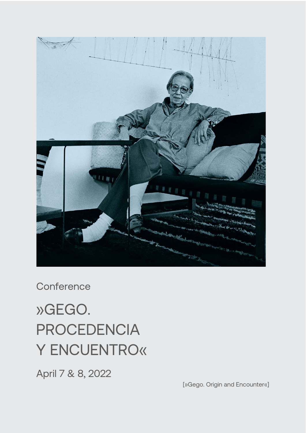

**Conference** 

# »GEGO. PROCEDENCIA Y ENCUENTRO«

April 7 & 8, 2022

[»Gego. Origin and Encounter«]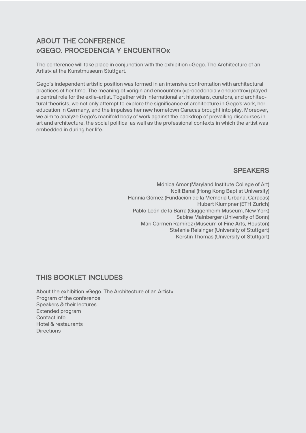## ABOUT THE CONFERENCE »GEGO. PROCEDENCIA Y ENCUENTRO«

The conference will take place in conjunction with the exhibition »Gego. The Architecture of an Artist« at the Kunstmuseum Stuttgart.

Gego's independent artistic position was formed in an intensive confrontation with architectural practices of her time. The meaning of »origin and encounter« (»procedencia y encuentro«) played a central role for the exile-artist. Together with international art historians, curators, and architectural theorists, we not only attempt to explore the significance of architecture in Gego's work, her education in Germany, and the impulses her new hometown Caracas brought into play. Moreover, we aim to analyze Gego's manifold body of work against the backdrop of prevailing discourses in art and architecture, the social political as well as the professional contexts in which the artist was embedded in during her life.

## SPEAKERS

Mónica Amor (Maryland Institute College of Art) Noit Banai (Hong Kong Baptist University) Hannia Gómez (Fundación de la Memoria Urbana, Caracas) Hubert Klumpner (ETH Zurich) Pablo León de la Barra (Guggenheim Museum, New York) Sabine Mainberger (University of Bonn) Mari Carmen Ramírez (Museum of Fine Arts, Houston) Stefanie Reisinger (University of Stuttgart) Kerstin Thomas (University of Stuttgart)

## THIS BOOKLET INCLUDES

About the exhibition »Gego. The Architecture of an Artist« Program of the conference Speakers & their lectures Extended program Contact info Hotel & restaurants **Directions**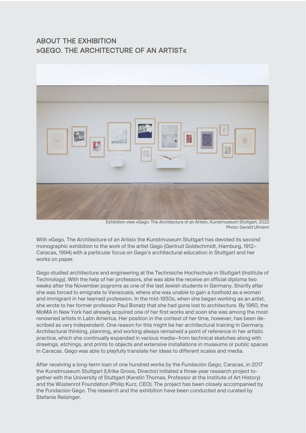## ABOUT THE EXHIBITION »GEGO. THE ARCHITECTURE OF AN ARTIST«



Exhibition view »Gego. The Architecture of an Artist«, Kunstmuseum Stuttgart, 2022 Photo: Gerald Ulmann

With »Gego. The Architecture of an Artist« the Kunstmuseum Stuttgart has devoted its second monographic exhibition to the work of the artist Gego (Gertrud Goldschmidt, Hamburg, 1912– Caracas, 1994) with a particular focus on Gego's architectural education in Stuttgart and her works on paper.

Gego studied architecture and engineering at the Technische Hochschule in Stuttgart (Institute of Technology). With the help of her professors, she was able the receive an official diploma two weeks after the November pogroms as one of the last Jewish students in Germany. Shortly after she was forced to emigrate to Venezuela, where she was unable to gain a foothold as a woman and immigrant in her learned profession. In the mid-1950s, when she began working as an artist, she wrote to her former professor Paul Bonatz that she had gone lost to architecture. By 1960, the MoMA in New York had already acquired one of her first works and soon she was among the most renowned artists in Latin America. Her position in the context of her time, however, has been described as very independent. One reason for this might be her architectural training in Germany. Architectural thinking, planning, and working always remained a point of reference in her artistic practice, which she continually expanded in various media—from technical sketches along with drawings, etchings, and prints to objects and extensive installations in museums or public spaces in Caracas. Gego was able to playfully translate her ideas to different scales and media.

After receiving a long-term loan of one hundred works by the Fundación Gego, Caracas, in 2017 the Kunstmuseum Stuttgart (Ulrike Groos, Director) initiated a three-year research project together with the University of Stuttgart (Kerstin Thomas, Professor at the Institute of Art History) and the Wüstenrot Foundation (Philip Kurz, CEO). The project has been closely accompanied by the Fundación Gego. The research and the exhibition have been conducted and curated by Stefanie Reisinger.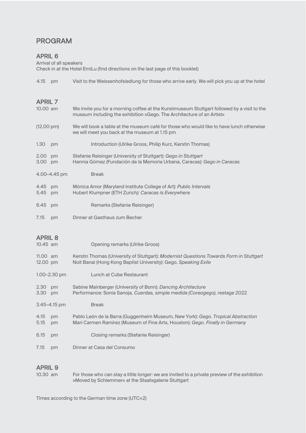## PROGRAM

#### APRIL 6

Arrival of all speakers Check in at the Hotel EmiLu (find directions on the last page of this booklet) 4.15 pm Visit to the Weissenhofsiedlung for those who arrive early. We will pick you up at the hotel APRIL 7 10.00 am We invite you for a morning coffee at the Kunstmuseum Stuttgart followed by a visit to the museum including the exhibition »Gego. The Architecture of an Artist« (12.00 pm) We will book a table at the museum café for those who would like to have lunch otherwise

- we will meet you back at the museum at 1.15 pm 1.30 pm Introduction (Ulrike Groos, Philip Kurz, Kerstin Thomas)
- 2.00 pm Stefanie Reisinger (University of Stuttgart): *Gego in Stuttgart*
- 3.00 pm Hannia Gómez (Fundación de la Memoria Urbana, Caracas): *Gego in Caracas*
- 4.00–4.45 pm Break
- 4.45 pm Mónica Amor (Maryland Institute College of Art): *Public Intervals* 5.45 pm Hubert Klumpner (ETH Zurich*): Caracas is Everywhere*
- 6.45 pm Remarks (Stefanie Reisinger)
- 7.15 pm Dinner at Gasthaus zum Becher

## APRIL 8

| $10.45$ am                |                  | Opening remarks (Ulrike Groos)                                                                                                                                   |
|---------------------------|------------------|------------------------------------------------------------------------------------------------------------------------------------------------------------------|
| 11.00 $\mu$ m<br>12.00 pm |                  | Kerstin Thomas (University of Stuttgart): Modernist Questions Towards Form in Stuttgart<br>Noit Banai (Hong Kong Baptist University): Gego. Speaking Exile       |
|                           | $1.00 - 2.30$ pm | Lunch at Cube Restaurant                                                                                                                                         |
| 2.30<br>3.30              | pm<br>pm         | Sabine Mainberger (University of Bonn): Dancing Architecture<br>Performance: Sonia Sanoja, Cuerdas, simple medida (Coreogego), restage 2022                      |
|                           | $3.45 - 4.15$ pm | <b>Break</b>                                                                                                                                                     |
| 4.15<br>5.15              | pm<br>pm         | Pablo León de la Barra (Guggenheim Museum, New York): Gego. Tropical Abstraction<br>Mari Carmen Ramírez (Museum of Fine Arts, Houston): Gego. Finally in Germany |
| 6.15                      | pm               | Closing remarks (Stefanie Reisinger)                                                                                                                             |
| 7.15                      | pm               | Dinner at Casa del Consumo                                                                                                                                       |

## APRIL 9

10.30 am For those who can stay a little longer: we are invited to a private preview of the exhibition »Moved by Schlemmer« at the Staatsgalerie Stuttgart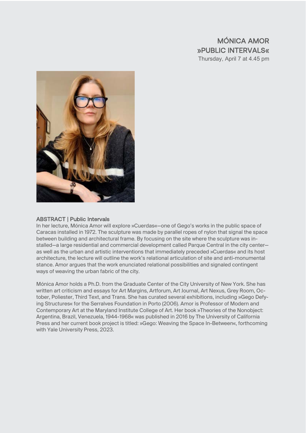## MÓNICA AMOR »PUBLIC INTERVALS« Thursday, April 7 at 4.45 pm



#### ABSTRACT | Public Intervals

In her lecture, Mónica Amor will explore »Cuerdas«—one of Gego's works in the public space of Caracas installed in 1972. The sculpture was made by parallel ropes of nylon that signal the space between building and architectural frame. By focusing on the site where the sculpture was installed—a large residential and commercial development called Parque Central in the city center as well as the urban and artistic interventions that immediately preceded »Cuerdas« and its host architecture, the lecture will outline the work's relational articulation of site and anti-monumental stance. Amor argues that the work enunciated relational possibilities and signaled contingent ways of weaving the urban fabric of the city.

Mónica Amor holds a Ph.D. from the Graduate Center of the City University of New York. She has written art criticism and essays for Art Margins, Artforum, Art Journal, Art Nexus, Grey Room, October, Poliester, Third Text, and Trans. She has curated several exhibitions, including »Gego Defying Structures« for the Serralves Foundation in Porto (2006). Amor is Professor of Modern and Contemporary Art at the Maryland Institute College of Art. Her book »Theories of the Nonobject: Argentina, Brazil, Venezuela, 1944-1968« was published in 2016 by The University of California Press and her current book project is titled: »Gego: Weaving the Space In-Between«, forthcoming with Yale University Press, 2023.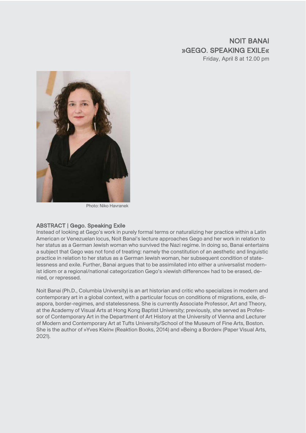## NOIT BANAI »GEGO. SPEAKING EXILE« Friday, April 8 at 12.00 pm



Photo: Niko Havranek

#### ABSTRACT | Gego. Speaking Exile

Instead of looking at Gego's work in purely formal terms or naturalizing her practice within a Latin American or Venezuelan locus, Noit Banai's lecture approaches Gego and her work in relation to her status as a German Jewish woman who survived the Nazi regime. In doing so, Banai entertains a subject that Gego was not fond of treating: namely the constitution of an aesthetic and linguistic practice in relation to her status as a German Jewish woman, her subsequent condition of statelessness and exile. Further, Banai argues that to be assimilated into either a universalist modernist idiom or a regional/national categorization Gego's »Jewish difference« had to be erased, denied, or repressed.

Noit Banai (Ph.D., Columbia University) is an art historian and critic who specializes in modern and contemporary art in a global context, with a particular focus on conditions of migrations, exile, diaspora, border-regimes, and statelessness. She is currently Associate Professor, Art and Theory, at the Academy of Visual Arts at Hong Kong Baptist University; previously, she served as Professor of Contemporary Art in the Department of Art History at the University of Vienna and Lecturer of Modern and Contemporary Art at Tufts University/School of the Museum of Fine Arts, Boston. She is the author of »Yves Klein« (Reaktion Books, 2014) and »Being a Border« (Paper Visual Arts, 2021).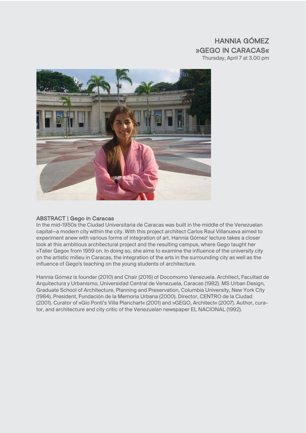## HANNIA GÓMEZ »GEGO IN CARACAS« Thursday, April 7 at 3.00 pm



#### ABSTRACT | Gego in Caracas

In the mid-1950s the Ciudad Universitaria de Caracas was built in the middle of the Venezuelan capital—a modern city within the city. With this project architect Carlos Raul Villanueva aimed to experiment anew with various forms of integration of art. Hannia Gómez' lecture takes a closer look at this ambitious architectural project and the resulting campus, where Gego taught her »Taller Gego« from 1959 on. In doing so, she aims to examine the influence of the university city on the artistic milieu in Caracas, the integration of the arts in the surrounding city as well as the influence of Gego's teaching on the young students of architecture.

Hannia Gómez is founder (2010) and Chair (2016) of Docomomo Venezuela. Architect, Facultad de Arquitectura y Urbanismo, Universidad Central de Venezuela, Caracas (1982). MS Urban Design, Graduate School of Architecture, Planning and Preservation, Columbia University, New York City (1984). President, Fundación de la Memoria Urbana (2000). Director, CENTRO de la Ciudad (2001). Curator of »Gio Ponti's Villa Planchart« (2001) and »GEGO, Architect« (2007). Author, curator, and architecture and city critic of the Venezuelan newspaper EL NACIONAL (1992).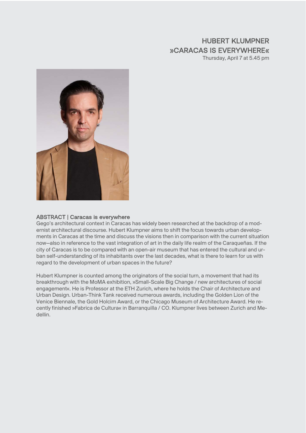## HUBERT KLUMPNER »CARACAS IS EVERYWHERE« Thursday, April 7 at 5.45 pm



#### ABSTRACT | Caracas is everywhere

Gego's architectural context in Caracas has widely been researched at the backdrop of a modernist architectural discourse. Hubert Klumpner aims to shift the focus towards urban developments in Caracas at the time and discuss the visions then in comparison with the current situation now—also in reference to the vast integration of art in the daily life realm of the Caraqueñas. If the city of Caracas is to be compared with an open-air museum that has entered the cultural and urban self-understanding of its inhabitants over the last decades, what is there to learn for us with regard to the development of urban spaces in the future?

Hubert Klumpner is counted among the originators of the social turn, a movement that had its breakthrough with the MoMA exhibition, »Small-Scale Big Change / new architectures of social engagement«. He is Professor at the ETH Zurich, where he holds the Chair of Architecture and Urban Design. Urban-Think Tank received numerous awards, including the Golden Lion of the Venice Biennale, the Gold Holcim Award, or the Chicago Museum of Architecture Award. He recently finished »Fabrica de Cultura« in Barranquilla / CO. Klumpner lives between Zurich and Medellin.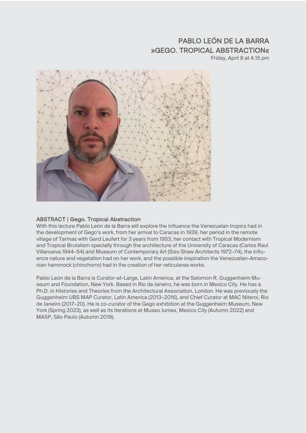## PABLO LEÓN DE LA BARRA »GEGO. TROPICAL ABSTRACTION«

Friday, April 8 at 4.15 pm



#### ABSTRACT | Gego. Tropical Abstraction

With this lecture Pablo León de la Barra will explore the influence the Venezuelan tropics had in the development of Gego's work, from her arrival to Caracas in 1939, her period in the remote village of Tarmas with Gerd Leufert for 3 years from 1953, her contact with Tropical Modernism and Tropical Brutalism specially through the architecture of the University of Caracas (Carlos Raul Villanueva 1944–54) and Museum of Contemporary Art (Siso Shaw Architects 1972–74), the influence nature and vegetation had on her work, and the possible inspiration the Venezuelan-Amazonian hammock (chinchorro) had in the creation of her reticularea works.

Pablo León de la Barra is Curator-at-Large, Latin America, at the Salomon R. Guggenheim Museum and Foundation, New York. Based in Rio de Janeiro, he was born in Mexico City. He has a Ph.D. in Histories and Theories from the Architectural Association, London. He was previously the Guggenheim UBS MAP Curator, Latin America (2013–2016), and Chief Curator at MAC Niteroi, Rio de Janeiro (2017–20). He is co-curator of the Gego exhibition at the Guggenheim Museum, New York (Spring 2023), as well as its iterations at Museo Jumex, Mexico City (Autumn 2022) and MASP, São Paulo (Autumn 2019).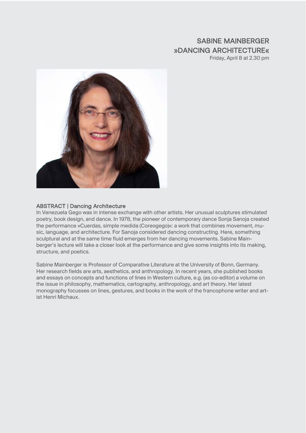## SABINE MAINBERGER »DANCING ARCHITECTURE« Friday, April 8 at 2.30 pm



#### ABSTRACT | Dancing Architecture

In Venezuela Gego was in intense exchange with other artists. Her unusual sculptures stimulated poetry, book design, and dance. In 1978, the pioneer of contemporary dance Sonja Sanoja created the performance »Cuerdas, simple medida (Coreogego)«: a work that combines movement, music, language, and architecture. For Sanoja considered dancing constructing. Here, something sculptural and at the same time fluid emerges from her dancing movements. Sabine Mainberger's lecture will take a closer look at the performance and give some insights into its making, structure, and poetics.

Sabine Mainberger is Professor of Comparative Literature at the University of Bonn, Germany. Her research fields are arts, aesthetics, and anthropology. In recent years, she published books and essays on concepts and functions of lines in Western culture, e.g. (as co-editor) a volume on the issue in philosophy, mathematics, cartography, anthropology, and art theory. Her latest monography focusses on lines, gestures, and books in the work of the francophone writer and artist Henri Michaux.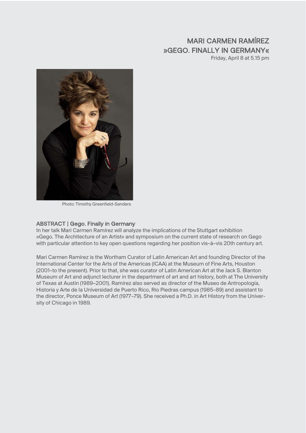## MARI CARMEN RAMÍREZ »GEGO. FINALLY IN GERMANY« Friday, April 8 at 5.15 pm



Photo: Timothy Greenfield-Sanders

#### ABSTRACT | Gego. Finally in Germany

In her talk Mari Carmen Ramírez will analyze the implications of the Stuttgart exhibition »Gego. The Architecture of an Artist« and symposium on the current state of research on Gego with particular attention to key open questions regarding her position vis–à–vis 20th century art.

Mari Carmen Ramírez is the Wortham Curator of Latin American Art and founding Director of the International Center for the Arts of the Americas (ICAA) at the Museum of Fine Arts, Houston (2001–to the present). Prior to that, she was curator of Latin American Art at the Jack S. Blanton Museum of Art and adjunct lecturer in the department of art and art history, both at The University of Texas at Austin (1989–2001). Ramírez also served as director of the Museo de Antropología, Historia y Arte de la Universidad de Puerto Rico, Río Piedras campus (1985–89) and assistant to the director, Ponce Museum of Art (1977–79). She received a Ph.D. in Art History from the University of Chicago in 1989.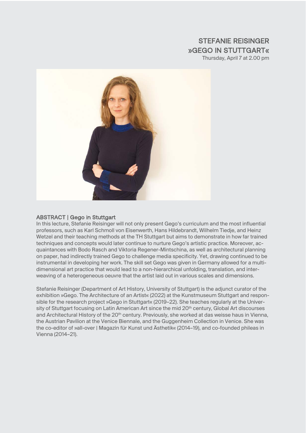## STEFANIE REISINGER »GEGO IN STUTTGART«

Thursday, April 7 at 2.00 pm



#### ABSTRACT | Gego in Stuttgart

In this lecture, Stefanie Reisinger will not only present Gego's curriculum and the most influential professors, such as Karl Schmoll von Eisenwerth, Hans Hildebrandt, Wilhelm Tiedje, and Heinz Wetzel and their teaching methods at the TH Stuttgart but aims to demonstrate in how far trained techniques and concepts would later continue to nurture Gego's artistic practice. Moreover, acquaintances with Bodo Rasch and Viktoria Regener-Mintschina, as well as architectural planning on paper, had indirectly trained Gego to challenge media specificity. Yet, drawing continued to be instrumental in developing her work. The skill set Gego was given in Germany allowed for a multidimensional art practice that would lead to a non-hierarchical unfolding, translation, and interweaving of a heterogeneous oeuvre that the artist laid out in various scales and dimensions.

Stefanie Reisinger (Department of Art History, University of Stuttgart) is the adjunct curator of the exhibition »Gego. The Architecture of an Artist« (2022) at the Kunstmuseum Stuttgart and responsible for the research project »Gego in Stuttgart« (2019–22). She teaches regularly at the University of Stuttgart focusing on Latin American Art since the mid 20<sup>th</sup> century, Global Art discourses and Architectural History of the 20<sup>th</sup> century. Previously, she worked at das weisse haus in Vienna, the Austrian Pavilion at the Venice Biennale, and the Guggenheim Collection in Venice. She was the co-editor of »all-over | Magazin für Kunst und Ästhetik« (2014–19), and co-founded phileas in Vienna (2014–21).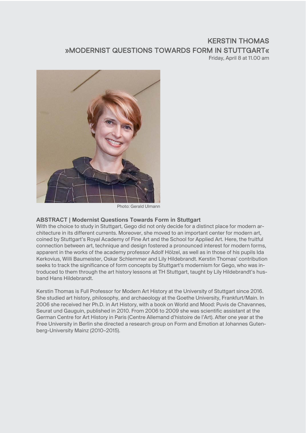## KERSTIN THOMAS »MODERNIST QUESTIONS TOWARDS FORM IN STUTTGART« Friday, April 8 at 11.00 am



Photo: Gerald Ulmann

#### **ABSTRACT | Modernist Questions Towards Form in Stuttgart**

With the choice to study in Stuttgart, Gego did not only decide for a distinct place for modern architecture in its different currents. Moreover, she moved to an important center for modern art, coined by Stuttgart's Royal Academy of Fine Art and the School for Applied Art. Here, the fruitful connection between art, technique and design fostered a pronounced interest for modern forms, apparent in the works of the academy professor Adolf Hölzel, as well as in those of his pupils Ida Kerkovius, Willi Baumeister, Oskar Schlemmer and Lily Hildebrandt. Kerstin Thomas' contribution seeks to track the significance of form concepts by Stuttgart's modernism for Gego, who was introduced to them through the art history lessons at TH Stuttgart, taught by Lily Hildebrandt's husband Hans Hildebrandt.

Kerstin Thomas is Full Professor for Modern Art History at the University of Stuttgart since 2016. She studied art history, philosophy, and archaeology at the Goethe University, Frankfurt/Main. In 2006 she received her Ph.D. in Art History, with a book on World and Mood: Puvis de Chavannes, Seurat und Gauguin, published in 2010. From 2006 to 2009 she was scientific assistant at the German Centre for Art History in Paris (Centre Allemand d'histoire de l'Art). After one year at the Free University in Berlin she directed a research group on Form and Emotion at Johannes Gutenberg-University Mainz (2010–2015).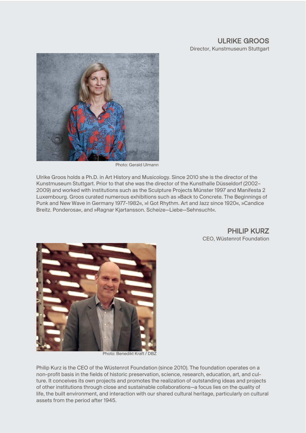#### ULRIKE GROOS Director, Kunstmuseum Stuttgart



Photo: Gerald Ulmann

Ulrike Groos holds a Ph.D. in Art History and Musicology. Since 2010 she is the director of the Kunstmuseum Stuttgart. Prior to that she was the director of the Kunsthalle Düsseldorf (2002– 2009) and worked with institutions such as the Sculpture Projects Münster 1997 and Manifesta 2 Luxembourg. Groos curated numerous exhibitions such as »Back to Concrete. The Beginnings of Punk and New Wave in Germany 1977-1982«, »I Got Rhythm. Art and Jazz since 1920«, »Candice Breitz. Ponderosa«, and »Ragnar Kjartansson. Scheize—Liebe—Sehnsucht«.

> PHII IP KURZ CEO, Wüstenrot Foundation



Photo: Benedikt Kraft / DBZ

Philip Kurz is the CEO of the Wüstenrot Foundation (since 2010). The foundation operates on a non-profit basis in the fields of historic preservation, science, research, education, art, and culture. It conceives its own projects and promotes the realization of outstanding ideas and projects of other institutions through close and sustainable collaborations—a focus lies on the quality of life, the built environment, and interaction with our shared cultural heritage, particularly on cultural assets from the period after 1945.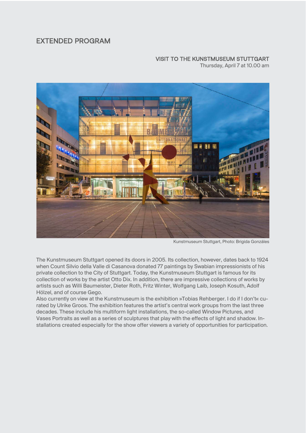## EXTENDED PROGRAM

## VISIT TO THE KUNSTMUSEUM STUTTGART

Thursday, April 7 at 10.00 am



Kunstmuseum Stuttgart, Photo: Brigida Gonzáles

The Kunstmuseum Stuttgart opened its doors in 2005. Its collection, however, dates back to 1924 when Count Silvio della Valle di Casanova donated 77 paintings by Swabian impressionists of his private collection to the City of Stuttgart. Today, the Kunstmuseum Stuttgart is famous for its collection of works by the artist Otto Dix. In addition, there are impressive collections of works by artists such as Willi Baumeister, Dieter Roth, Fritz Winter, Wolfgang Laib, Joseph Kosuth, Adolf Hölzel, and of course Gego.

Also currently on view at the Kunstmuseum is the exhibition »Tobias Rehberger. I do if I don't« curated by Ulrike Groos. The exhibition features the artist's central work groups from the last three decades. These include his multiform light installations, the so-called Window Pictures, and Vases Portraits as well as a series of sculptures that play with the effects of light and shadow. Installations created especially for the show offer viewers a variety of opportunities for participation.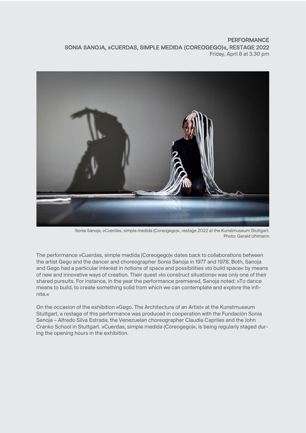#### **PERFORMANCE** SONIA SANOJA, »CUERDAS, SIMPLE MEDIDA (COREOGEGO)«, RESTAGE 2022 Friday, April 8 at 3.30 pm



Sonia Sanoja, »Cuerdas, simple medida (Coreogego)«, restage 2022 at the Kunstmuseum Stuttgart. Photo: Gerald Uhlmann

The performance »Cuerdas, simple medida (Coreogego)« dates back to collaborations between the artist Gego and the dancer and choreographer Sonia Sanoja in 1977 and 1978. Both, Sanoja and Gego had a particular interest in notions of space and possibilities »to build space« by means of new and innovative ways of creation. Their quest »to construct situations« was only one of their shared pursuits. For instance, in the year the performance premiered, Sanoja noted: »To dance means to build, to create something solid from which we can contemplate and explore the infinite.«

On the occasion of the exhibition »Gego. The Architecture of an Artist« at the Kunstmuseum Stuttgart, a restage of this performance was produced in cooperation with the Fundación Sonia Sanoja – Alfredo Silva Estrada, the Venezuelan choreographer Claudia Capriles and the John Cranko School in Stuttgart. »Cuerdas, simple medida (Coreogego)«, is being regularly staged during the opening hours in the exhibition.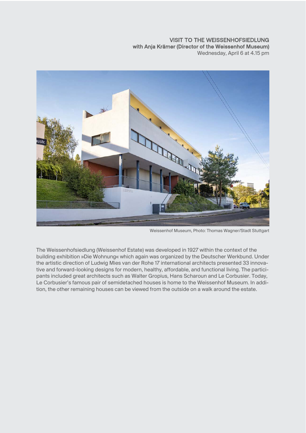#### VISIT TO THE WEISSENHOFSIEDLUNG with Anja Krämer (Director of the Weissenhof Museum) Wednesday, April 6 at 4.15 pm



Weissenhof Museum, Photo: Thomas Wagner/Stadt Stuttgart

The Weissenhofsiedlung (Weissenhof Estate) was developed in 1927 within the context of the building exhibition »Die Wohnung« which again was organized by the Deutscher Werkbund. Under the artistic direction of Ludwig Mies van der Rohe 17 international architects presented 33 innovative and forward-looking designs for modern, healthy, affordable, and functional living. The participants included great architects such as Walter Gropius, Hans Scharoun and Le Corbusier. Today, Le Corbusier's famous pair of semidetached houses is home to the Weissenhof Museum. In addition, the other remaining houses can be viewed from the outside on a walk around the estate.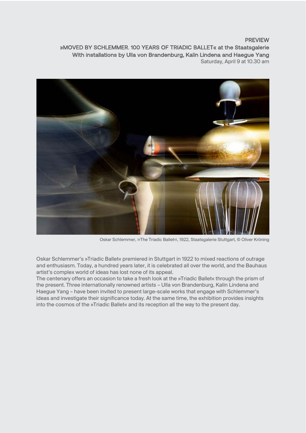#### PREVIEW

»MOVED BY SCHLEMMER. 100 YEARS OF TRIADIC BALLET« at the Staatsgalerie With installations by Ulla von Brandenburg, Kalin Lindena and Haegue Yang Saturday, April 9 at 10.30 am



Oskar Schlemmer, »The Triadic Ballet«, 1922, Staatsgalerie Stuttgart, © Oliver Kröning

Oskar Schlemmer's »Triadic Ballet« premiered in Stuttgart in 1922 to mixed reactions of outrage and enthusiasm. Today, a hundred years later, it is celebrated all over the world, and the Bauhaus artist's complex world of ideas has lost none of its appeal.

The centenary offers an occasion to take a fresh look at the »Triadic Ballet« through the prism of the present. Three internationally renowned artists – Ulla von Brandenburg, Kalin Lindena and Haegue Yang – have been invited to present large-scale works that engage with Schlemmer's ideas and investigate their significance today. At the same time, the exhibition provides insights into the cosmos of the »Triadic Ballet« and its reception all the way to the present day.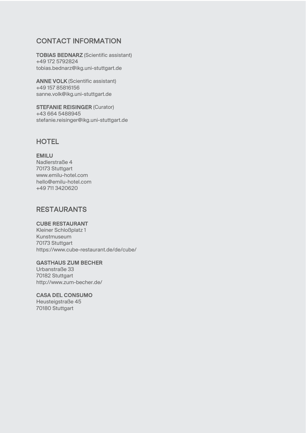## CONTACT INFORMATION

TOBIAS BEDNARZ (Scientific assistant) +49 172 5792824 tobias.bednarz@ikg.uni-stuttgart.de

ANNE VOLK (Scientific assistant) +49 157 85816156 sanne.volk@ikg.uni-stuttgart.de

STEFANIE REISINGER (Curator) +43 664 5488945 stefanie.reisinger@ikg.uni-stuttgart.de

## **HOTEL**

#### EMILU

Nadlerstraße 4 70173 Stuttgart www.emilu-hotel.com hello@emilu-hotel.com +49 711 3420620

## RESTAURANTS

#### CUBE RESTAURANT

Kleiner Schloßplatz 1 Kunstmuseum 70173 Stuttgart https://www.cube-restaurant.de/de/cube/

#### GASTHAUS ZUM BECHER

Urbanstraße 33 70182 Stuttgart http://www.zum-becher.de/

#### CASA DEL CONSUMO

Heusteigstraße 45 70180 Stuttgart